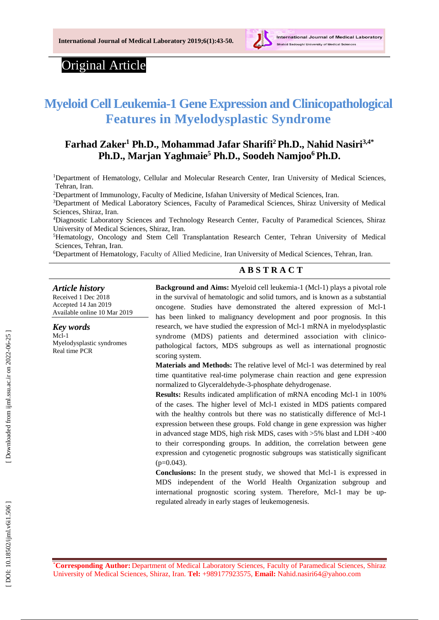

# Original Article

# **Myeloid Cell Leukemia -1 Gene Expression and Clinicopathological Features in Myelodysplastic Syndrome**

# **Farhad Zaker <sup>1</sup> Ph.D. , Mohammad Jafar Sharifi <sup>2</sup>Ph.D. , Nahid Nasiri 3,4 \* Ph.D. , Marjan Yaghmaie <sup>5</sup> Ph.D. , Soodeh Namjoo <sup>6</sup>Ph.D.**

<sup>1</sup>Department of Hematology, Cellular and Molecular Research Center, Iran University of Medical Sciences, Tehran, Iran.

<sup>2</sup>Department of [Immunology](https://www.researchgate.net/institution/Isfahan_University_of_Medical_Sciences/department/Immunology_Department), Faculty of Medicine, Isfahan [University](https://www.researchgate.net/institution/Isfahan_University_of_Medical_Sciences) of Medical Sciences, Iran.

<sup>3</sup>Department of Medical Laboratory Sciences, Faculty of Paramedical Sciences, Shiraz University of Medical Sciences, Shiraz, Iran.

<sup>4</sup>Diagnostic Laboratory Sciences and Technology Research Center, Faculty of Paramedical Sciences, Shiraz University of Medical Sciences, Shiraz, Iran.

<sup>5</sup>Hematology, Oncology and Stem Cell Transplantation Research Center, Tehran University of Medical Sciences, Tehran, Iran.

<sup>6</sup>Department of Hematology, Faculty of Allied Medicine, Iran University of Medical Sciences, Tehran, Iran.

### **A B S T R A C T**

#### *Article history*

Received 1 Dec 201 8 Accepted 1 4 Jan 201 9 Available online 10 Mar 201 9

*Key words* Mcl-1 Myelodysplastic syndrome s Real time PCR

**Background and Aims:** Myeloid cell leukemia - 1 (Mcl -1) plays a pivotal role in the survival of hematologic and solid tumors, and is known as a substantial oncogene. Studies have demonstrated the altered expression of Mcl -1 has been linked to malignancy development and poor prognosis. In this research , we have studied the expression of Mcl -1 mRNA in myelodysplastic syndrome (MDS) patients and determined association with clinicopathological factors, MDS subgroups as well as international prognostic scoring system.

**Materials and Methods:** The relative level of Mcl -1 was determined by real time quantitative real-time polymerase chain reaction and gene expression normalized to Glyceraldehyde - 3 -phosphate dehydrogenase .

Results: Results indicated amplification of mRNA encoding Mcl-1 in 100% of the cases. The higher level of Mcl -1 existed in MDS patients compared with the healthy controls but there was no statistically difference of Mcl-1 expression between these groups. Fold change in gene expression was higher in advanced stage MDS, high risk MDS, cases with >5% blast and LDH >400 to their corresponding groups. In addition, the correlation between gene expression and cytogenetic prognostic subgroups was statistically significant  $(p=0.043)$ .

**Conclusions:** In the present study, we showed that Mcl-1 is expressed in MDS independent of the World Health Organization subgroup and international prognostic scoring system. Therefore, Mcl-1 may be upregulated already in earl y stages of leukemogenesis.

\***Corresponding Author :** Department of Medical Laboratory Sciences, Faculty of Paramedical Sciences, Shiraz University of Medical Sciences, Shiraz, Iran. **Tel:** +989177923575, **Email:** Nahid.nasiri64@yahoo.com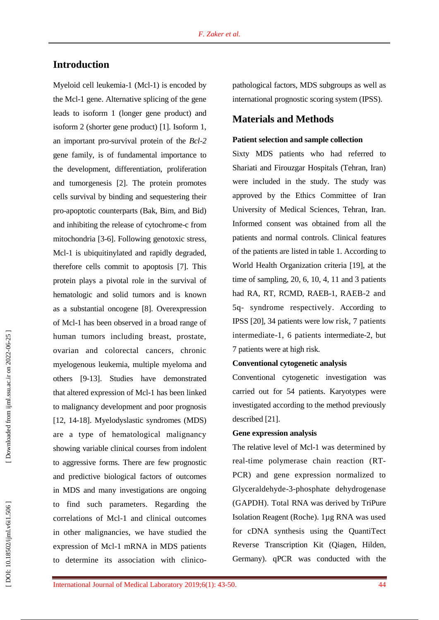# **Introduction**

Myeloid cell leukemia - 1 (Mcl -1) is encoded by the Mcl - 1 gene. Alternative splicing of the gene leads to isoform 1 (longer gene product) and isoform 2 (shorter gene product) [1]. Isoform 1, an important pro -survival protein of the *Bcl - 2* gene family, is of fundamental importance to the development, differentiation, proliferation and tumorgenesis [2]. The protein promotes cell s survival by binding and sequestering their pro -apoptotic counterparts (Bak, Bim, and Bid ) and inhibiting the release of cytochrome - c from mitochondria [3 -6]. Following genotoxic stress, Mcl - 1 is ubiquitinylated and rapidly degraded, therefore cell s commit to apoptosis [7]. This protein plays a pivotal role in the survival of hematologic and solid tumors and is known as a substantial oncogene [8]. Overexpression of Mcl - 1 has been observed in a broad range of human tumors including breast, prostate, ovarian and colorectal cancers , chronic myelogenous leukemia, multiple myeloma and others [9 -13] . Studies have demonstrated that altered expression of Mcl - 1 has been linked to malignancy development and poor prognosis [12, 14 -18] . Myelodyslastic syndromes (MDS) are a type of hematological malignancy showing variable clinical courses from indolent to aggressive forms. There are few prognostic and predictive biological factors of outcomes in MDS and many investigations are ongoing to find such parameters . Regarding the correlations of Mcl - 1 and clinical outcomes in other malignancies, we have studie d the expression of Mcl - 1 mRNA in MDS patients to determine its association with clinico -

pathological factors, MDS subgroups as well as international prognostic scoring system (IPSS).

# **Materials and Methods**

#### **Patient selection and sample collection**

Sixty MDS patients who had referred to Shariati and Firouzgar Hospitals (Tehran, Iran) were included in the study . The study was approved by the Ethics Committee of Iran University of Medical Science s, Tehran, Iran. Informed consent was obtained from all the patients and normal controls. Clinical features of the patients are listed in table 1. According to World Health Organization criteria [19], at the time of sampling, 20 , 6, 10, 4, 11 and 3 patients had RA, RT, RCMD, RAEB-1, RAEB-2 and 5q - syndrome respectively . According to IPSS [20], 34 patients were low risk, 7 patients intermediate -1, 6 patients intermediate -2, but 7 patients were at high risk.

#### **Conventional cytogenetic analysis**

Conventional cytogenetic investigation was carried out for 54 patients. Karyotypes were investigated according to the method previously described [21].

#### **Gene expression analysis**

The relative level of Mcl - 1 was determined by real -time polymerase chain reaction (RT - PCR ) and gene expression normalized to Glyceraldehyde - 3 -phosphate dehydrogenase (GAPDH). Total RNA was derived by TriPure Isolation Reagent (Roche). 1µg RNA was used for cDNA synthesis using the QuantiTect Reverse Transcription Kit (Qiagen , Hilden, Germany ) . qPCR was conducted with the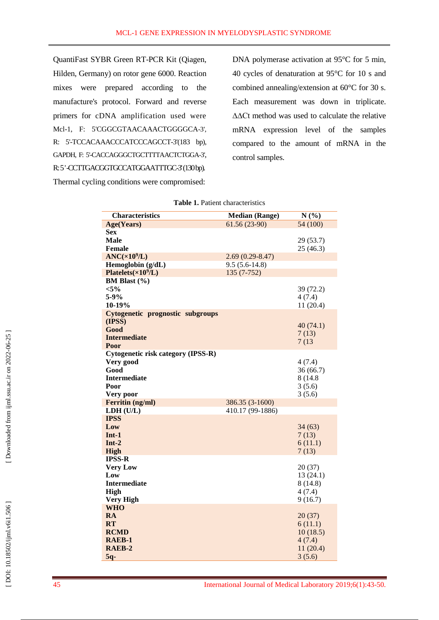QuantiFast SYBR Green RT-PCR Kit (Qiagen, Hilden, Germany ) on rotor gene 6000 . Reaction mixes were prepared according to the manufacture's protocol. Forward and reverse primers for cDNA amplification used were Mcl -1, F: 5'CGGCGTAACAAACTGGGGCA -3', R: 5'-TCCACAAACCCATCCCAGCCT-3'(183 bp), GAPDH, F: 5'-CACCAGGGCTGCTTTTAACTCTGGA-3', R: 5'-CCTTGACGGTGCCATGGAATTTGC-3'(130bp). Thermal cycling conditions were compromised:

DNA polymerase activation at 95°C for 5 min, 40 cycles of denaturation at 95°C for 10 s and combined annealing/extension at 60°C fo r 30 s. Each measurement was down in triplicate. ∆∆Ct method was used to calculate the relative mRNA expression level of the samples compared to the amount of mRNA in the control samples.

| <b>Characteristics</b>             | <b>Median (Range)</b> | N(%)      |
|------------------------------------|-----------------------|-----------|
| Age(Years)                         | $61.56(23-90)$        | 54 (100)  |
| Sex                                |                       |           |
| <b>Male</b>                        |                       | 29(53.7)  |
| <b>Female</b>                      |                       | 25(46.3)  |
| ANC(x10 <sup>9</sup> /L)           | $2.69(0.29 - 8.47)$   |           |
| Hemoglobin $(g/dL)$                | $9.5(5.6-14.8)$       |           |
| Platelets $(\times 10^9/L)$        | $135(7-752)$          |           |
| BM Blast (%)                       |                       |           |
| $< 5\%$                            |                       | 39 (72.2) |
| $5 - 9%$                           |                       | 4(7.4)    |
| $10-19%$                           |                       | 11(20.4)  |
| Cytogenetic prognostic subgroups   |                       |           |
| (IPSS)<br>Good                     |                       | 40(74.1)  |
| <b>Intermediate</b>                |                       | 7(13)     |
| Poor                               |                       | 7(13)     |
| Cytogenetic risk category (IPSS-R) |                       |           |
| Very good                          |                       | 4(7.4)    |
| Good                               |                       | 36(66.7)  |
| <b>Intermediate</b>                |                       | 8 (14.8)  |
| Poor                               |                       | 3(5.6)    |
| Very poor                          |                       | 3(5.6)    |
| Ferritin (ng/ml)                   | 386.35 (3-1600)       |           |
| LDH (U/L)                          | 410.17 (99-1886)      |           |
| <b>IPSS</b>                        |                       |           |
| Low                                |                       | 34(63)    |
| $Int-1$                            |                       | 7(13)     |
| $Int-2$                            |                       | 6(11.1)   |
| High                               |                       | 7(13)     |
| <b>IPSS-R</b>                      |                       |           |
| <b>Very Low</b>                    |                       | 20(37)    |
| Low                                |                       | 13(24.1)  |
| <b>Intermediate</b>                |                       | 8 (14.8)  |
| <b>High</b>                        |                       | 4(7.4)    |
| <b>Very High</b>                   |                       | 9(16.7)   |
| <b>WHO</b>                         |                       |           |
| <b>RA</b>                          |                       | 20(37)    |
| <b>RT</b>                          |                       | 6(11.1)   |
| <b>RCMD</b>                        |                       | 10(18.5)  |
| RAEB-1                             |                       | 4(7.4)    |
| RAEB-2                             |                       | 11(20.4)  |
| $5q-$                              |                       | 3(5.6)    |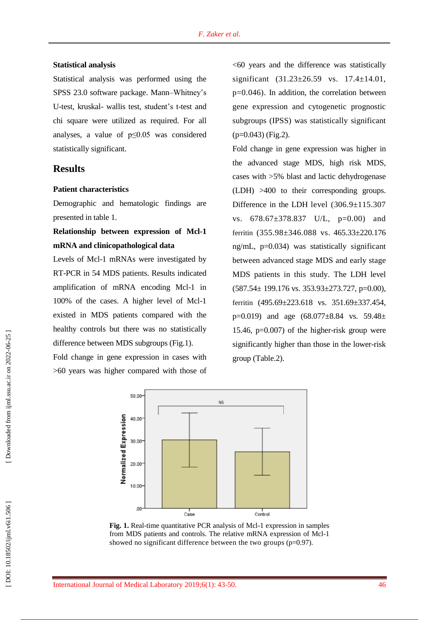#### **Statistical analysis**

Statistical analysis was performed using the SPSS 23.0 software package. Mann–Whitney's U-test, kruskal- wallis test, student's t-test and chi square were utilized as required. For all analyses, a value of p≤0.05 was considered statistically significant.

### **Results**

### **Patient characteristics**

Demographic and hematologic findings are presented in table 1.

# **Relationship between expression of Mcl - 1 mRNA and clinicopathological data**

Levels of Mcl - 1 mRNAs were investigated by RT -PCR in 54 MDS patient s . Results indicated amplification of mRNA encoding Mcl - 1 in 100% of the cases. A higher level of Mcl-1 existed in MDS patients compared with the healthy control s but there was no statistically difference between MDS subgroup s (Fig.1).

Fold change in gene expression in cases with >60 years was higher compared with those of  $<$  60 years and the difference was statistically significant (31.23±26.59 vs. 17.4±14.01, p=0.046). In addition, the correlation between gene expression and cytogenetic prognostic subgroups (IPSS) was statistically significant  $(p=0.043)$  (Fig.2).

Fold change in gene expression was higher in the advanced stage MDS, high risk MDS, cases with >5% blast and lactic dehydrogenase (LDH) >400 to their corresponding groups. Difference in the LDH level (306.9±115.307 vs. 678.67±378.837 U/L, p=0.00) and ferritin (355.98±346.088 vs . 465.33±220.176 ng/mL , p=0.034) was statistically significant between advanced stage MDS and early stage MDS patients in this study. The LDH level  $(587.54 \pm 199.176 \text{ vs. } 353.93 \pm 273.727, \text{ p=0.00}),$ ferritin (495.69±223.618 vs. 351.69±337.454, p=0.019) and age  $(68.077 \pm 8.84$  vs. 59.48 $\pm$ 15.46, p=0.007) of the higher -risk group were significantly higher than those in the lower -risk group (Table.2).



Fig. 1. Real-time quantitative PCR analysis of Mcl-1 expression in samples from MDS patients and controls. The relative mRNA expression of Mcl-1 showed no significant difference between the two groups (p=0.97).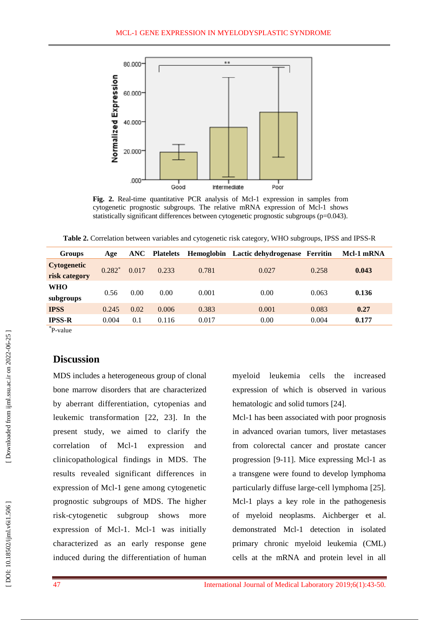

Fig. 2. Real-time quantitative PCR analysis of Mcl-1 expression in samples from cytogenetic prognostic subgroups. The relative mRNA expression of Mcl-1 shows statistically significant differences between cytogenetic prognostic subgroups (p=0.043).

Table 2. Correlation between variables and cytogenetic risk category, WHO subgroups, IPSS and IPSS-R

| <b>Groups</b>                       | Age      |       | <b>ANC</b> Platelets |       | Hemoglobin Lactic dehydrogenase Ferritin |       | Mcl-1 mRNA |
|-------------------------------------|----------|-------|----------------------|-------|------------------------------------------|-------|------------|
| <b>Cytogenetic</b><br>risk category | $0.282*$ | 0.017 | 0.233                | 0.781 | 0.027                                    | 0.258 | 0.043      |
| WHO<br>subgroups                    | 0.56     | 0.00  | 0.00                 | 0.001 | 0.00                                     | 0.063 | 0.136      |
| <b>IPSS</b>                         | 0.245    | 0.02  | 0.006                | 0.383 | 0.001                                    | 0.083 | 0.27       |
| IPSS-R                              | 0.004    | 0.1   | 0.116                | 0.017 | 0.00                                     | 0.004 | 0.177      |
| $*$ $-$                             |          |       |                      |       |                                          |       |            |

\* P -value

# **Discussion**

MDS includes a heterogeneous group of clonal bone marrow disorders that are characterized by aberrant differentiation, cytopenias and leukemic transformation [22, 23]. In the present study , we aimed to clarify the correlation of  $Mcl-1$ expression and clinicopathological findings in MDS. The results revealed significant differences in expression of Mcl - 1 gene among cytogenetic prognostic subgroups of MDS. The higher risk -cytogenetic subgroup shows more expression of Mcl-1. Mcl-1 was initially characterized as an early response gene induced during the differentiation of human

myeloid leukemia cells the increased expression of which is observed in various hematologic and solid tumors [24].

Mcl - 1 has been associated with poor prognosis in advanced ovarian tumors, liver metastases from colorectal cancer and prostate cancer progression [9 -11]. Mice expressing Mcl - 1 as a transgene were found t o develop lymphoma particularly diffuse large -cell lymphoma [25]. Mcl - 1 plays a key role in the pathogenesis of myeloid neoplasms. Aichberger et al. demonstrated Mcl - 1 detection in isolated primary chronic myeloid leukemia (CML ) cells at the mRNA and protein level in all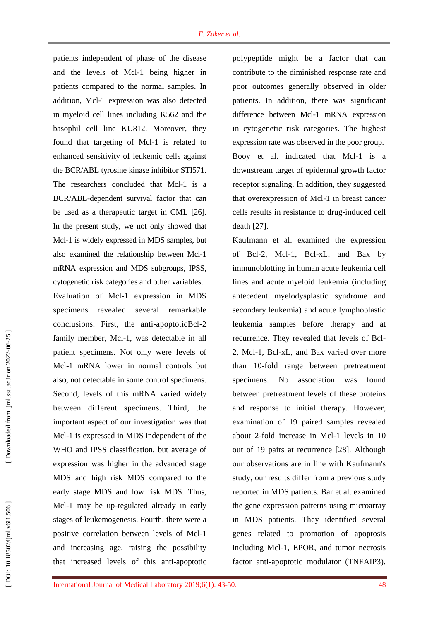patients independent of phase of the disease and the levels of Mcl - 1 being higher in patients compared to the normal samples. In addition, Mcl - 1 expression was also detected in myeloid cell lines including K562 and the basophil cell line KU812. Moreover, they found that targeting of Mcl - 1 is related to enhanced sensitivity of leukemic cells against the BCR/ABL tyrosine kinase inhibitor STI571. The researchers concluded that Mcl-1 is a BCR/ABL -dependent survival factor that can be use d as a therapeutic target in CML [26]. In the present study, we not only showed that Mcl - 1 is widely expressed in MDS samples, but also examined the relationship between Mcl - 1 mRNA expression and MDS subgroups, IPSS, cytogenetic risk categories and other variables . Evaluation of Mcl - 1 expression in MDS specimens revealed several remarkable conclusions. First, the anti-apoptoticBcl-2 family member, Mcl -1, was detectable in all patient specimens. Not only were levels of Mcl - 1 mRNA lower in normal controls but also , not detectable in some control specimens. Second, levels of this mRNA varied widely between different specimens. Third, the important aspect of our investigation was that Mcl - 1 is expressed in MDS independent of the WHO and IPSS classification, but average of expression was higher in the advanced stage MDS and high risk MDS compared to the early stage MDS and low risk MDS . Thus, Mcl - 1 may be up -regulated already in early stages of leukemogenesis. Fourth, there were a positive correlation between levels of Mcl - 1 and increasing age, raising the possibility that increased levels of this anti -apoptotic

polypeptide might be a factor that can contribute to the diminished response rate and poor outcomes generally observed in older patients. In addition, there wa s significant difference between Mcl - 1 mRNA expression in cytogenetic risk categories . The highest expression rate was observed in the poor group. Booy et al. indicated that Mcl - 1 is a downstream target of epidermal growth factor receptor signaling. In addition, they suggested that overexpression of Mcl - 1 in breast cancer cells results in resistance to drug -induced cell death [27].

[Kaufmann](http://www.ncbi.nlm.nih.gov/pubmed/?term=Kaufmann%20SH%5BAuthor%5D&cauthor=true&cauthor_uid=9446661) et al. examined the expression of Bcl -2, Mcl -1, Bcl -xL, and Bax by immunoblotting in human acute leukemia cell lines and acute myeloid leukemia (including antecedent myelodysplastic syndrome and secondary leukemia) and acute lymphoblastic leukemia samples before therapy and at recurrence. They revealed that levels of Bcl - 2, Mcl -1, Bcl -xL, and Bax varied over more than 10 -fold range between pretreatment specimens. No association was found between pretreatment levels of these proteins and response to initia l therapy. However, examination of 19 paired samples revealed about 2 -fold increase in Mcl - 1 levels in 10 out of 19 pairs at recurrence [28]. Although our observations are in line with Kaufmann's study, our results differ from a previous study reported in MDS patients. Bar et al . examined the gene expression patterns using microarray in MDS patients. They identified several genes related to promotion of apoptosis including Mcl -1, EPOR, and tumor necrosis factor anti -apoptotic modulator (TNFAIP3).

[ DOI: 10.18502/ijml.v6i1.506 ] [\[ Downloaded from ijml.ssu.ac.ir on 2022-](https://ijml.ssu.ac.ir/article-1-279-en.html)06-25 ]

DOI: 10.18502/ijml.v6i1.506

Downloaded from ijml.ssu.ac.ir on 2022-06-25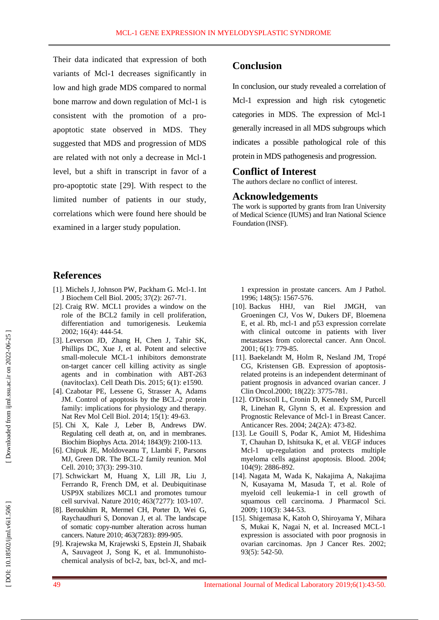Their data indicated that expression of both variants of Mcl - 1 decreases significantly in low and high grade MDS compared to normal bone marrow and down regulation of Mcl - 1 is consistent with the promotion of a pro apoptotic state observed in MDS. They suggested tha t MDS and progression of MDS are related with not only a decrease in Mcl - 1 level, but a shift in transcript in favor of a pro -apoptotic state [29]. With respect to the limited number of patients in our study, correlations which were found here should be examined in a larger study population.

### **Conclusion**

In conclusion , our study revealed a correlation of Mcl - 1 expression and high risk cytogenetic categories in MDS. The expression of Mcl - 1 generally increased in all MDS subgroups which indicate s a possible pathological role of this protein in MDS pathogenesis and progression.

#### **Conflict of Interest**

The authors declare no conflict of interest.

#### **Acknowledgements**

The work is supported by grants from Iran University of Medical Science (IUMS) and Iran National Science Foundation (INSF).

### **References**

- [1]. Michels J, Johnson PW, Packham G. Mcl-1. [Int](https://www.ncbi.nlm.nih.gov/pubmed/15474972) J [Biochem](https://www.ncbi.nlm.nih.gov/pubmed/15474972) Cell Biol. 2005; 37(2): 267 -71.
- [ 2]. Craig RW . MCL1 provides a window on the role of the BCL2 family in cell proliferation, differentiation and tumorigenesis. Leukemia 2002; 16(4): 444 -54.
- [ 3]. Leverson JD, Zhang H, Chen J, Tahir SK, Phillips DC, Xue J, et al . Potent and selective small -molecule MCL - 1 inhibitors demonstrate on -target cancer cell killing activity as single agents and in combination with ABT -263 (navitoclax). Cell Death Dis. 2015; 6(1): e1590.
- [ 4]. Czabotar PE, Lessene G, Strasser A, Adams JM. Control of apoptosis by the BCL-2 protein family: implications for physiology and therapy. Nat Rev Mol Cell Biol. 2014; 15(1): 49-63.
- [ 5]. Chi X, Kale J, Leber B, Andrews DW . Regulating cell death at, on, and in membranes. Biochim Biophys Acta. 2014; 1843(9): 2100 - 113.
- [ 6]. Chipuk JE, Moldoveanu T, Llambi F, Parsons MJ, Green DR . The BCL - 2 family reunion. Mol Cell. 2010; 37(3) : 299 -310.
- [ 7]. Schwickart M, Huang X, Lill JR, Liu J, Ferrando R, French DM, et al . Deubiquitinase USP9X stabilizes MCL1 and promotes tumour cell survival. Nature 2010; 463(7277): 103 -107.
- [ 8]. Beroukhim R, Mermel CH, Porter D, Wei G, Raychaudhuri S, Donovan J, et al . The landscape of somatic copy -number alteration across human cancers. Nature 2010; 463(7283): 899 -905 .
- [ 9]. Krajewska M, Krajewski S, Epstein JI, Shabaik A, Sauvageot J, Song K, et al . Immunohisto chemical analysis of bcl -2, bax, bcl -X, and mcl -

1 expression in prostate cancers. Am J Pathol. 1996; 148(5): 1567 - 576.

- [10]. Backus HHJ, van Riel JMGH, van Groeningen CJ, [Vos](javascript:;) W, [Dukers](javascript:;) DF, [Bloemena](javascript:;) E , et al. Rb, mcl - 1 and p53 expressio n correlate with clinical outcome in patients with liver metastases from colorectal cancer. Ann Oncol. 2001; 6(1): 779 -85.
- [11]. Baekelandt M, Holm R, Nesland JM, Tropé CG, Kristensen GB. Expression of apoptosisrelated proteins is an independent determinant of patient prognosis in advanced ovarian cancer. J Clin Oncol.2000; 18(22): 3775-781.
- [12]. O'Driscoll L , Cronin D , Kennedy SM , Purcell R , Linehan R , Glynn S, et al . Expression and Prognostic Relevance of Mcl - 1 in Breast Cancer. Anticancer Res. 2004; 24(2A): 473 -82 .
- [13]. Le Gouill S, Podar K, Amiot M, Hideshima T , Chauhan D , Ishitsuka K , et al . VEGF induces Mcl - 1 up -regulation and protects multiple myeloma cells against apoptosis. Blood. 2004; 104(9): 2886 - 892.
- [14]. Nagata M , Wada K , Nakajima A , Nakajima N , Kusayama M , Masuda T , et al . Role of myeloid cell leukemia - 1 in cell growth of squamous cell carcinoma. J Pharmacol Sci. 2009; 110(3): 344 -53.
- [15]. Shigemasa K , Katoh O , Shiroyama Y , Mihara S, Mukai K, Nagai N, et al. Increased MCL-1 expression is associated with poor prognosis in ovarian carcinomas. Jpn J Cancer Res. 2002; 93(5): 542 -50.